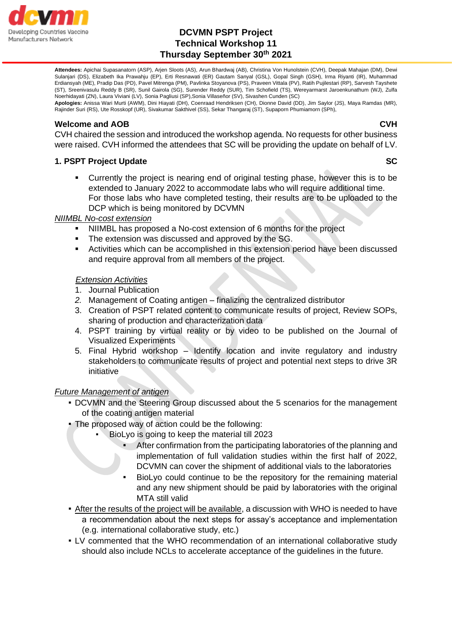

**Attendees:** Apichai Supasanatorn (ASP), Arjen Sloots (AS), Arun Bhardwaj (AB), Christina Von Hunolstein (CVH), Deepak Mahajan (DM), Dewi Sulanjari (DS), Elizabeth Ika Prawahju (EP), Erti Resnawati (ER) Gautam Sanyal (GSL), Gopal Singh (GSH), Irma Riyanti (IR), Muhammad Erdiansyah (ME), Pradip Das (PD), Pavel Mitrenga (PM), Pavlinka Stoyanova (PS), Praveen Vittala (PV), Ratih Pujilestari (RP), Sarvesh Tayshete (ST), Sreenivasulu Reddy B (SR), Sunil Gairola (SG), Surender Reddy (SUR), Tim Schofield (TS), Wereyarmarst Jaroenkunathum (WJ), Zulfa Noerhidayati (ZN), Laura Viviani (LV), Sonia Pagliusi (SP),Sonia Villaseñor (SV), Sivashen Cunden (SC)

**Apologies:** Anissa Wari Murti (AWM), Dini Hiayati (DH), Coenraad Hendriksen (CH), Dionne David (DD), Jim Saylor (JS), Maya Ramdas (MR), Rajinder Suri (RS), Ute Rosskopf (UR), Sivakumar Sakthivel (SS), Sekar Thangaraj (ST), Supaporn Phumiamorn (SPh),

#### **Welcome and AOB CVH**

CVH chaired the session and introduced the workshop agenda. No requests for other business were raised. CVH informed the attendees that SC will be providing the update on behalf of LV.

# **1. PSPT Project Update SC 1. PSPT Project Update SC 2. PSPT Project Update SC 3. PSPT Project Update SC 3. PSPT Project Update SC 3. PSPT Project Update SC 3. PSPT Project Update SC 3. PSPT Project Update SC 3. PSPT Proje**

Currently the project is nearing end of original testing phase, however this is to be extended to January 2022 to accommodate labs who will require additional time. For those labs who have completed testing, their results are to be uploaded to the DCP which is being monitored by DCVMN

### *NIIMBL No-cost extension*

- NIIMBL has proposed a No-cost extension of 6 months for the project
- The extension was discussed and approved by the SG.
- Activities which can be accomplished in this extension period have been discussed and require approval from all members of the project.

### *Extension Activities*

- 1. Journal Publication
- *2.* Management of Coating antigen finalizing the centralized distributor
- 3. Creation of PSPT related content to communicate results of project, Review SOPs, sharing of production and characterization data
- 4. PSPT training by virtual reality or by video to be published on the Journal of Visualized Experiments
- 5. Final Hybrid workshop Identify location and invite regulatory and industry stakeholders to communicate results of project and potential next steps to drive 3R initiative

#### *Future Management of antigen*

- **DCVMN and the Steering Group discussed about the 5 scenarios for the management** of the coating antigen material
- The proposed way of action could be the following:
	- BioLyo is going to keep the material till 2023
		- After confirmation from the participating laboratories of the planning and implementation of full validation studies within the first half of 2022, DCVMN can cover the shipment of additional vials to the laboratories
		- BioLyo could continue to be the repository for the remaining material and any new shipment should be paid by laboratories with the original MTA still valid
- After the results of the project will be available, a discussion with WHO is needed to have a recommendation about the next steps for assay's acceptance and implementation (e.g. international collaborative study, etc.)
- LV commented that the WHO recommendation of an international collaborative study should also include NCLs to accelerate acceptance of the guidelines in the future.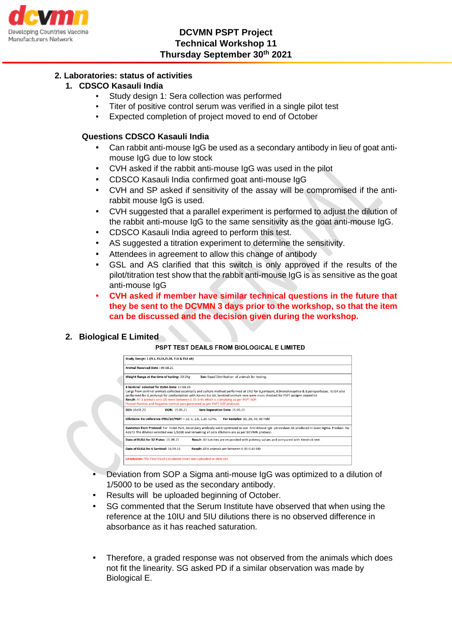

### **2. Laboratories: status of activities**

### **1. CDSCO Kasauli India**

- Study design 1: Sera collection was performed
- Titer of positive control serum was verified in a single pilot test
- Expected completion of project moved to end of October

#### **Questions CDSCO Kasauli India**

- Can rabbit anti-mouse IgG be used as a secondary antibody in lieu of goat antimouse IgG due to low stock
- CVH asked if the rabbit anti-mouse IgG was used in the pilot
- CDSCO Kasauli India confirmed goat anti-mouse IgG
- CVH and SP asked if sensitivity of the assay will be compromised if the antirabbit mouse IgG is used.
- CVH suggested that a parallel experiment is performed to adjust the dilution of the rabbit anti-mouse IgG to the same sensitivity as the goat anti-mouse IgG.
- CDSCO Kasauli India agreed to perform this test.
- AS suggested a titration experiment to determine the sensitivity.
- Attendees in agreement to allow this change of antibody
- GSL and AS clarified that this switch is only approved if the results of the pilot/titration test show that the rabbit anti-mouse IgG is as sensitive as the goat anti-mouse IgG
- **CVH asked if member have similar technical questions in the future that they be sent to the DCVMN 3 days prior to the workshop, so that the item can be discussed and the decision given during the workshop.**

**2. Biological E Limited**

#### PSPT TEST DEAILS FROM BIOLOGICAL E LIMITED

| Study Design: 1 (FL1, FL2A,FL2B, FL3 & FL3 alt)<br>Animal Received Date: 09.08.21                                              |                                                                                                                                                                                                                                                                                                                                                                                           |
|--------------------------------------------------------------------------------------------------------------------------------|-------------------------------------------------------------------------------------------------------------------------------------------------------------------------------------------------------------------------------------------------------------------------------------------------------------------------------------------------------------------------------------------|
|                                                                                                                                |                                                                                                                                                                                                                                                                                                                                                                                           |
| 3 Sentinel, selected for FLISA Date: 17 08 21<br>Pooled Positive and Negative control sera generated as per PSPT SOP protocol. | Lungs from sentinel animals collected ascetically and culture method performed at CRO for B.pertussis, B.bronchoseptica & B.parapertussis. ELISA also<br>performed for B.pertussis for conformation with Xpress bio kit. Sentinel animals sera were cross checked for PSPT antigen coated kit<br>Result: All 3 animals sera OD were between 0.35-0.45 which is complying as per PSPT SOP. |
| DOI: 18.08.21<br>DOB: 15.09.21                                                                                                 | Sera Separation Date: 15.09.21                                                                                                                                                                                                                                                                                                                                                            |
| Dilutions: For reference IPRS/20/PERT - 10, 5, 2.5, 1.25 IU/mL                                                                 | For Samples: 10, 20, 40, 80 Fold                                                                                                                                                                                                                                                                                                                                                          |
|                                                                                                                                | Deviation from Protocol: For ELISA Part, Secondary antibody were optimized to use Anti-Mouse IgG peroxidase Ab produced in Goat Sigma. Product No<br>A3673 The dilution selected was 1/5000 and remaining all sera dilutions are as per DCVMN protocol.                                                                                                                                   |
| Date of ELISA for 32 Plates: 15.09.21                                                                                          | Result: All batches are responded with potency values and compared with Kendrick test.                                                                                                                                                                                                                                                                                                    |
| Date of ELISA for 6 Sentinel: 16.09.21                                                                                         | Result: All 6 animals are between 0.35-0.45 OD                                                                                                                                                                                                                                                                                                                                            |
| Conclusion: The Final Excel Calculated sheet was uploaded in Web site.                                                         |                                                                                                                                                                                                                                                                                                                                                                                           |

- Deviation from SOP a Sigma anti-mouse IgG was optimized to a dilution of 1/5000 to be used as the secondary antibody.
- Results will be uploaded beginning of October.
- SG commented that the Serum Institute have observed that when using the reference at the 10IU and 5IU dilutions there is no observed difference in absorbance as it has reached saturation.
- Therefore, a graded response was not observed from the animals which does not fit the linearity. SG asked PD if a similar observation was made by Biological E.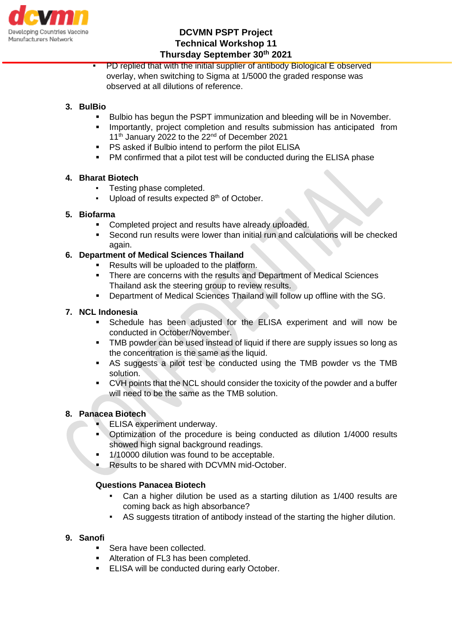

PD replied that with the initial supplier of antibody Biological E observed overlay, when switching to Sigma at 1/5000 the graded response was observed at all dilutions of reference.

# **3. BulBio**

- Bulbio has begun the PSPT immunization and bleeding will be in November.
- Importantly, project completion and results submission has anticipated from 11<sup>th</sup> January 2022 to the 22<sup>nd</sup> of December 2021
- PS asked if Bulbio intend to perform the pilot ELISA
- PM confirmed that a pilot test will be conducted during the ELISA phase

### **4. Bharat Biotech**

- Testing phase completed.
- Upload of results expected 8<sup>th</sup> of October.

### **5. Biofarma**

- Completed project and results have already uploaded.
- Second run results were lower than initial run and calculations will be checked again.

# **6. Department of Medical Sciences Thailand**

- Results will be uploaded to the platform.
- There are concerns with the results and Department of Medical Sciences Thailand ask the steering group to review results.
- Department of Medical Sciences Thailand will follow up offline with the SG.

### **7. NCL Indonesia**

- Schedule has been adjusted for the ELISA experiment and will now be conducted in October/November.
- TMB powder can be used instead of liquid if there are supply issues so long as the concentration is the same as the liquid.
- AS suggests a pilot test be conducted using the TMB powder vs the TMB solution.
- CVH points that the NCL should consider the toxicity of the powder and a buffer will need to be the same as the TMB solution.

## **8. Panacea Biotech**

- **ELISA experiment underway.**
- Optimization of the procedure is being conducted as dilution 1/4000 results showed high signal background readings.
- 1/10000 dilution was found to be acceptable.
- Results to be shared with DCVMN mid-October.

# **Questions Panacea Biotech**

- Can a higher dilution be used as a starting dilution as 1/400 results are coming back as high absorbance?
- AS suggests titration of antibody instead of the starting the higher dilution.

#### **9. Sanofi**

- Sera have been collected.
- Alteration of FL3 has been completed.
- **ELISA will be conducted during early October.**